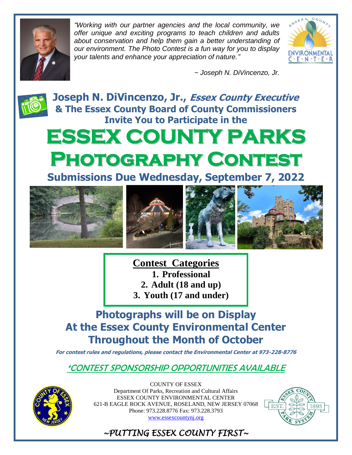

*"Working with our partner agencies and the local community, we offer unique and exciting programs to teach children and adults about conservation and help them gain a better understanding of our environment. The Photo Contest is a fun way for you to display your talents and enhance your appreciation of nature."*



*~ Joseph N. DiVincenzo, Jr.*



**Joseph N. DiVincenzo, Jr., Essex County Executive & The Essex County Board of County Commissioners Invite You to Participate in the**

# **ESSEX COUNTY PARKS Photography Contest**

**Submissions Due Wednesday, September 7, 2022**



**Contest Categories 1. Professional 2. Adult (18 and up) 3. Youth (17 and under)**

**Photographs will be on Display At the Essex County Environmental Center Throughout the Month of October** 

**For contest rules and regulations, please contact the Environmental Center at 973-228-8776**

\*CONTEST SPONSORSHIP OPPORTUNITIES AVAILABLE



COUNTY OF ESSEX Department Of Parks, Recreation and Cultural Affairs ESSEX COUNTY ENVIRONMENTAL CENTER 621-B EAGLE ROCK AVENUE, ROSELAND, NEW JERSEY 07068 Phone: 973.228.8776 Fax: 973.228.3793 [www.essexcountynj.org](http://www.essexcountynj.org/)



*~PUTTING ESSEX COUNTY FIRST~*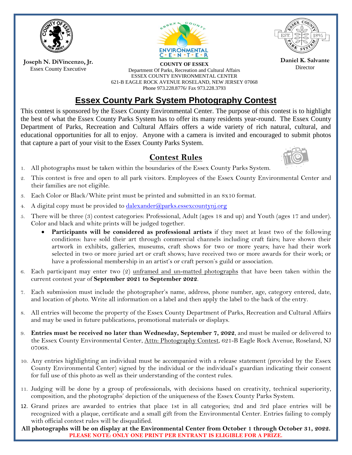

**Joseph N. DiVincenzo, Jr.** Essex County Executive





**Daniel K. Salvante**

**COUNTY OF ESSEX**<br>
Department Of Parks, Recreation and Cultural Affairs **Director** ESSEX COUNTY ENVIRONMENTAL CENTER 621-B EAGLE ROCK AVENUE ROSELAND, NEW JERSEY 07068 Phone 973.228.8776/ Fax 973.228.3793

## **Essex County Park System Photography Contest**

This contest is sponsored by the Essex County Environmental Center. The purpose of this contest is to highlight the best of what the Essex County Parks System has to offer its many residents year-round. The Essex County Department of Parks, Recreation and Cultural Affairs offers a wide variety of rich natural, cultural, and educational opportunities for all to enjoy. Anyone with a camera is invited and encouraged to submit photos that capture a part of your visit to the Essex County Parks System.

#### **Contest Rules**



- 1. All photographs must be taken within the boundaries of the Essex County Parks System.
- 2. This contest is free and open to all park visitors. Employees of the Essex County Environmental Center and their families are not eligible.
- 3. Each Color or Black/White print must be printed and submitted in an 8x10 format.
- 4. A digital copy must be provided to [dalexander@parks.essexcountynj.org](mailto:dalexander@parks.essexcountynj.org)
- 5. There will be three (3) contest categories: Professional, Adult (ages 18 and up) and Youth (ages 17 and under). Color and black and white prints will be judged together.
	- **Participants will be considered as professional artists** if they meet at least two of the following conditions: have sold their art through commercial channels including craft fairs; have shown their artwork in exhibits, galleries, museums, craft shows for two or more years; have had their work selected in two or more juried art or craft shows; have received two or more awards for their work; or have a professional membership in an artist's or craft person's guild or association.
- 6. Each participant may enter two (2) unframed and un-matted photographs that have been taken within the current contest year of **September 2021 to September 2022**.
- 7. Each submission must include the photographer's name, address, phone number, age, category entered, date, and location of photo. Write all information on a label and then apply the label to the back of the entry.
- 8. All entries will become the property of the Essex County Department of Parks, Recreation and Cultural Affairs and may be used in future publications, promotional materials or displays.
- 9. **Entries must be received no later than Wednesday, September 7, 2022**, and must be mailed or delivered to the Essex County Environmental Center, Attn: Photography Contest, 621-B Eagle Rock Avenue, Roseland, NJ 07068.
- 10. Any entries highlighting an individual must be accompanied with a release statement (provided by the Essex County Environmental Center) signed by the individual or the individual's guardian indicating their consent for full use of this photo as well as their understanding of the contest rules.
- 11. Judging will be done by a group of professionals, with decisions based on creativity, technical superiority, composition, and the photographs' depiction of the uniqueness of the Essex County Parks System.
- 12. Grand prizes are awarded to entries that place 1st in all categories; 2nd and 3rd place entries will be recognized with a plaque, certificate and a small gift from the Environmental Center. Entries failing to comply with official contest rules will be disqualified.

**All photographs will be on display at the Environmental Center from October 1 through October 31, 2022. PLEASE NOTE: ONLY ONE PRINT PER ENTRANT IS ELIGIBLE FOR A PRIZE.**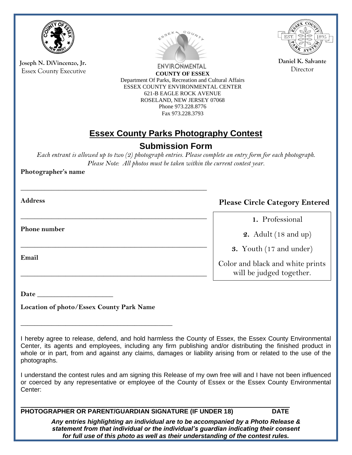

**Joseph N. DiVincenzo, Jr.** Essex County Executive



ENVIRONMENTAL **COUNTY OF ESSEX** Department Of Parks, Recreation and Cultural Affairs ESSEX COUNTY ENVIRONMENTAL CENTER 621-B EAGLE ROCK AVENUE ROSELAND, NEW JERSEY 07068 Phone 973.228.8776 Fax 973.228.3793



**Daniel K. Salvante** Director

### **Essex County Parks Photography Contest**

#### **Submission Form**

*Each entrant is allowed up to two (2) photograph entries. Please complete an entry form for each photograph. Please Note: All photos must be taken within the current contest year.*

**Photographer's name** 

**Address** 

**Please Circle Category Entered**

**1.** Professional

**2.** Adult (18 and up)

**3.** Youth (17 and under)

Color and black and white prints will be judged together.

**Phone number** 

**Email** 

**Date \_\_\_\_\_\_\_\_\_\_\_\_\_\_\_\_\_\_\_\_\_\_** 

**Location of photo/Essex County Park Name**

**\_\_\_\_\_\_\_\_\_\_\_\_\_\_\_\_\_\_\_\_\_\_\_\_\_\_\_\_\_\_\_\_\_\_\_\_\_\_\_\_\_\_\_\_**

**\_\_\_\_\_\_\_\_\_\_\_\_\_\_\_\_\_\_\_\_\_\_\_\_\_\_\_\_\_\_\_\_\_\_\_\_\_\_\_\_\_\_\_\_\_\_\_\_\_\_\_\_\_\_**

**\_\_\_\_\_\_\_\_\_\_\_\_\_\_\_\_\_\_\_\_\_\_\_\_\_\_\_\_\_\_\_\_\_\_\_\_\_\_\_\_\_\_\_\_\_\_\_\_\_\_\_\_\_\_**

**\_\_\_\_\_\_\_\_\_\_\_\_\_\_\_\_\_\_\_\_\_\_\_\_\_\_\_\_\_\_\_\_\_\_\_\_\_\_\_\_\_\_\_\_\_\_\_\_\_\_\_\_\_\_**

**\_\_\_\_\_\_\_\_\_\_\_\_\_\_\_\_\_\_\_\_\_\_\_\_\_\_\_\_\_\_\_\_\_\_\_\_\_\_\_\_\_\_\_\_\_\_\_\_\_\_\_\_\_\_**

I understand the contest rules and am signing this Release of my own free will and I have not been influenced or coerced by any representative or employee of the County of Essex or the Essex County Environmental Center:

PHOTOGRAPHER OR PARENT/GUARDIAN SIGNATURE (IF UNDER 18) DATE

*Any entries highlighting an individual are to be accompanied by a Photo Release & statement from that individual or the individual's guardian indicating their consent for full use of this photo as well as their understanding of the contest rules.*

I hereby agree to release, defend, and hold harmless the County of Essex, the Essex County Environmental Center, its agents and employees, including any firm publishing and/or distributing the finished product in whole or in part, from and against any claims, damages or liability arising from or related to the use of the photographs.